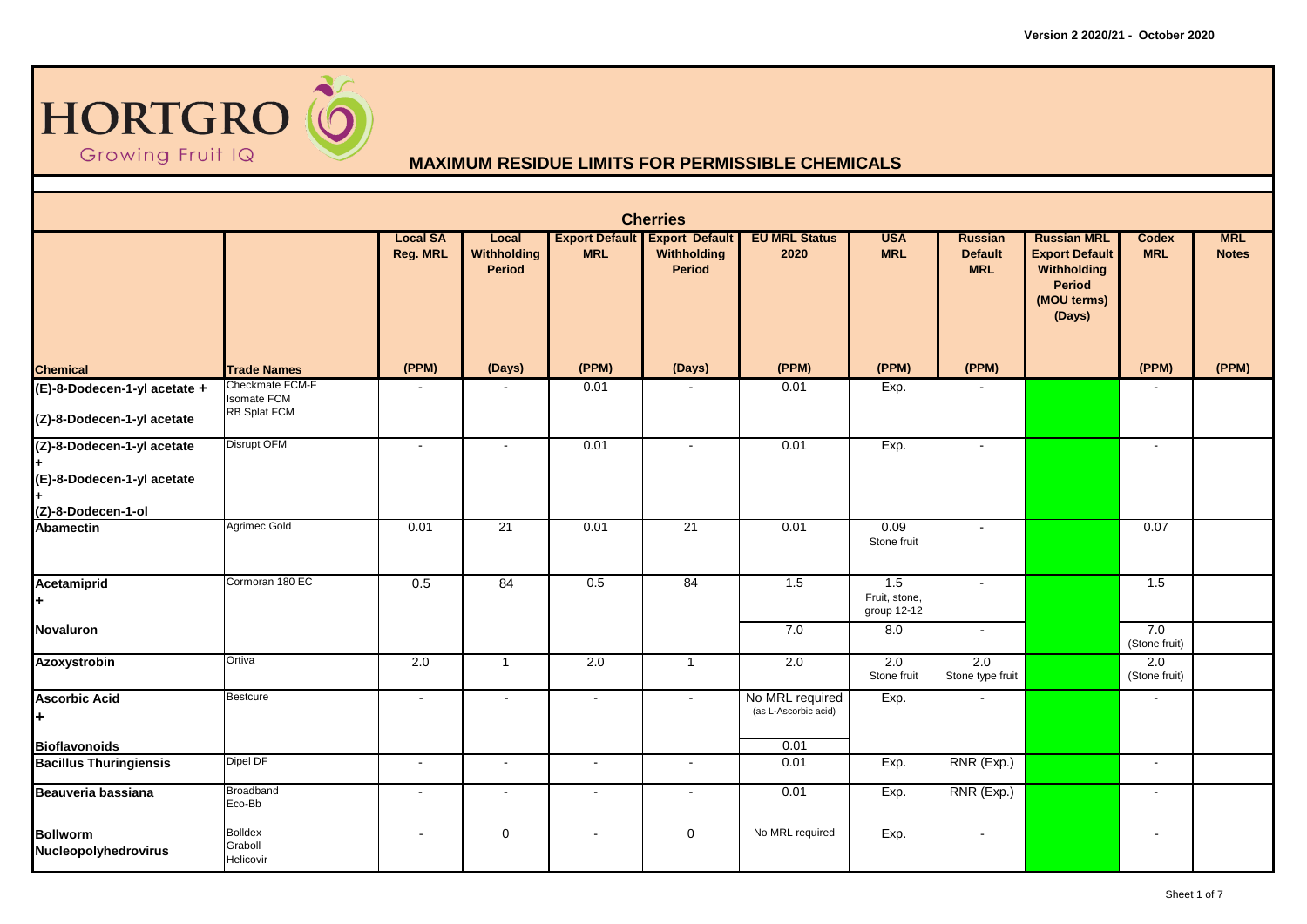

| <b>Cherries</b>                                  |                                        |                                    |                                              |            |                                                               |                                         |                                     |                                         |                                                                                                      |                            |                            |  |
|--------------------------------------------------|----------------------------------------|------------------------------------|----------------------------------------------|------------|---------------------------------------------------------------|-----------------------------------------|-------------------------------------|-----------------------------------------|------------------------------------------------------------------------------------------------------|----------------------------|----------------------------|--|
|                                                  |                                        | <b>Local SA</b><br><b>Reg. MRL</b> | Local<br><b>Withholding</b><br><b>Period</b> | <b>MRL</b> | <b>Export Default Export Default</b><br>Withholding<br>Period | <b>EU MRL Status</b><br>2020            | <b>USA</b><br><b>MRL</b>            | Russian<br><b>Default</b><br><b>MRL</b> | <b>Russian MRL</b><br><b>Export Default</b><br>Withholding<br><b>Period</b><br>(MOU terms)<br>(Days) | <b>Codex</b><br><b>MRL</b> | <b>MRL</b><br><b>Notes</b> |  |
| <b>Chemical</b>                                  | <b>Trade Names</b>                     | (PPM)                              | (Days)                                       | (PPM)      | (Days)                                                        | (PPM)                                   | (PPM)                               | (PPM)                                   |                                                                                                      | (PPM)                      | (PPM)                      |  |
| (E)-8-Dodecen-1-yl acetate +                     | Checkmate FCM-F<br><b>Isomate FCM</b>  |                                    |                                              | 0.01       |                                                               | 0.01                                    | Exp.                                |                                         |                                                                                                      |                            |                            |  |
| (Z)-8-Dodecen-1-yl acetate                       | <b>RB Splat FCM</b>                    |                                    |                                              |            |                                                               |                                         |                                     |                                         |                                                                                                      |                            |                            |  |
| (Z)-8-Dodecen-1-yl acetate                       | Disrupt OFM                            | ÷,                                 | $\sim$                                       | 0.01       | $\sim$                                                        | 0.01                                    | Exp.                                | $\sim$                                  |                                                                                                      | $\sim$                     |                            |  |
| (E)-8-Dodecen-1-yl acetate<br>(Z)-8-Dodecen-1-ol |                                        |                                    |                                              |            |                                                               |                                         |                                     |                                         |                                                                                                      |                            |                            |  |
| <b>Abamectin</b>                                 | Agrimec Gold                           | 0.01                               | 21                                           | 0.01       | 21                                                            | 0.01                                    | 0.09<br>Stone fruit                 | $\sim$                                  |                                                                                                      | 0.07                       |                            |  |
| Acetamiprid<br>l+.                               | Cormoran 180 EC                        | 0.5                                | 84                                           | 0.5        | 84                                                            | 1.5                                     | 1.5<br>Fruit, stone,<br>group 12-12 | $\sim$                                  |                                                                                                      | 1.5                        |                            |  |
| <b>Novaluron</b>                                 |                                        |                                    |                                              |            |                                                               | 7.0                                     | 8.0                                 | $\sim$                                  |                                                                                                      | 7.0<br>(Stone fruit)       |                            |  |
| Azoxystrobin                                     | Ortiva                                 | 2.0                                | $\overline{1}$                               | 2.0        | $\overline{1}$                                                | 2.0                                     | 2.0<br>Stone fruit                  | 2.0<br>Stone type fruit                 |                                                                                                      | 2.0<br>(Stone fruit)       |                            |  |
| <b>Ascorbic Acid</b><br>l÷.                      | <b>Bestcure</b>                        | $\blacksquare$                     | $\sim$                                       | $\sim$     | $\sim$                                                        | No MRL required<br>(as L-Ascorbic acid) | Exp.                                |                                         |                                                                                                      |                            |                            |  |
| <b>Bioflavonoids</b>                             |                                        |                                    |                                              |            |                                                               | 0.01                                    |                                     |                                         |                                                                                                      |                            |                            |  |
| <b>Bacillus Thuringiensis</b>                    | Dipel DF                               | $\tilde{\phantom{a}}$              | $\sim$                                       | $\omega$   | $\blacksquare$                                                | 0.01                                    | Exp.                                | RNR (Exp.)                              |                                                                                                      | $\blacksquare$             |                            |  |
| Beauveria bassiana                               | Broadband<br>Eco-Bb                    | $\sim$                             | $\sim$                                       | $\sim$     | $\sim$                                                        | 0.01                                    | Exp.                                | RNR (Exp.)                              |                                                                                                      |                            |                            |  |
| <b>Bollworm</b><br>Nucleopolyhedrovirus          | <b>Bolldex</b><br>Graboll<br>Helicovir | $\blacksquare$                     | $\mathbf 0$                                  | $\sim$     | $\mathbf 0$                                                   | No MRL required                         | Exp.                                | $\sim$                                  |                                                                                                      | $\sim$                     |                            |  |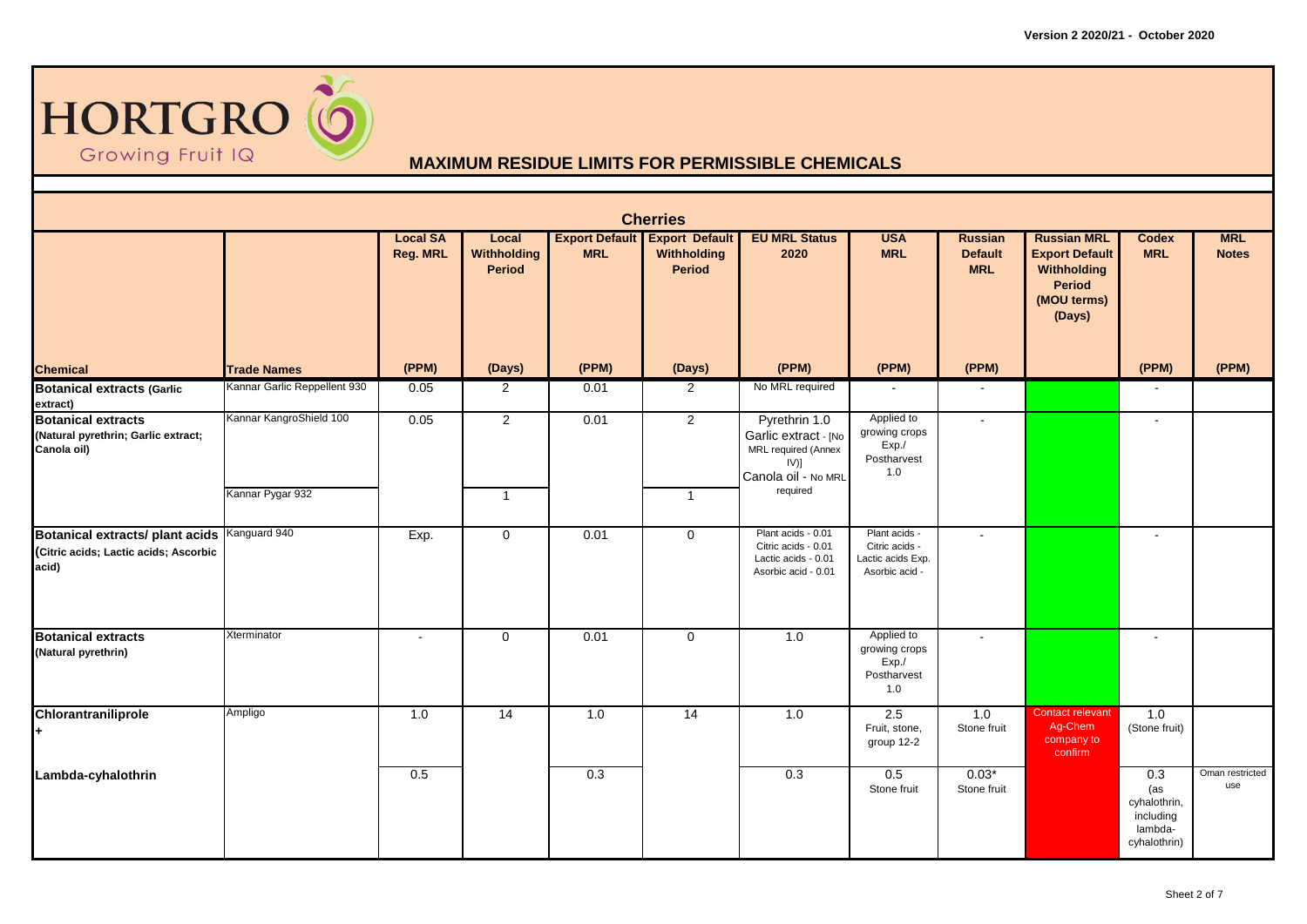

|                                                                                                | <b>Cherries</b>              |                                    |                                              |            |                                                               |                                                                                                |                                                                        |                                                |                                                                                               |                                                                    |                            |  |  |  |
|------------------------------------------------------------------------------------------------|------------------------------|------------------------------------|----------------------------------------------|------------|---------------------------------------------------------------|------------------------------------------------------------------------------------------------|------------------------------------------------------------------------|------------------------------------------------|-----------------------------------------------------------------------------------------------|--------------------------------------------------------------------|----------------------------|--|--|--|
|                                                                                                |                              | <b>Local SA</b><br><b>Reg. MRL</b> | Local<br><b>Withholding</b><br><b>Period</b> | <b>MRL</b> | <b>Export Default Export Default</b><br>Withholding<br>Period | <b>EU MRL Status</b><br>2020                                                                   | <b>USA</b><br><b>MRL</b>                                               | <b>Russian</b><br><b>Default</b><br><b>MRL</b> | <b>Russian MRL</b><br><b>Export Default</b><br>Withholding<br>Period<br>(MOU terms)<br>(Days) | <b>Codex</b><br><b>MRL</b>                                         | <b>MRL</b><br><b>Notes</b> |  |  |  |
| <b>Chemical</b>                                                                                | <b>Trade Names</b>           | (PPM)                              | (Days)                                       | (PPM)      | (Days)                                                        | (PPM)                                                                                          | (PPM)                                                                  | (PPM)                                          |                                                                                               | (PPM)                                                              | (PPM)                      |  |  |  |
| <b>Botanical extracts (Garlic</b><br>extract)                                                  | Kannar Garlic Reppellent 930 | 0.05                               | $\overline{2}$                               | 0.01       | $\overline{2}$                                                | No MRL required                                                                                |                                                                        | $\sim$                                         |                                                                                               |                                                                    |                            |  |  |  |
| <b>Botanical extracts</b><br>(Natural pyrethrin; Garlic extract;<br>Canola oil)                | Kannar KangroShield 100      | 0.05                               | $\overline{2}$                               | 0.01       | $\overline{2}$                                                | Pyrethrin 1.0<br>Garlic extract - [No<br>MRL required (Annex<br>$IV)$ ]<br>Canola oil - No MRL | Applied to<br>growing crops<br>Exp./<br>Postharvest<br>1.0             | $\sim$                                         |                                                                                               |                                                                    |                            |  |  |  |
|                                                                                                | Kannar Pygar 932             |                                    | $\overline{1}$                               |            | $\overline{1}$                                                | required                                                                                       |                                                                        |                                                |                                                                                               |                                                                    |                            |  |  |  |
| Botanical extracts/ plant acids Kanguard 940<br>(Citric acids; Lactic acids; Ascorbic<br>acid) |                              | Exp.                               | $\mathbf 0$                                  | 0.01       | $\mathbf 0$                                                   | Plant acids - 0.01<br>Citric acids - 0.01<br>Lactic acids - 0.01<br>Asorbic acid - 0.01        | Plant acids -<br>Citric acids -<br>Lactic acids Exp.<br>Asorbic acid - | $\sim$                                         |                                                                                               |                                                                    |                            |  |  |  |
| <b>Botanical extracts</b><br>(Natural pyrethrin)                                               | Xterminator                  | $\blacksquare$                     | $\mathbf 0$                                  | 0.01       | $\mathbf 0$                                                   | 1.0                                                                                            | Applied to<br>growing crops<br>Exp./<br>Postharvest<br>1.0             | $\sim$                                         |                                                                                               |                                                                    |                            |  |  |  |
| Chlorantraniliprole<br>ŀ.                                                                      | Ampligo                      | 1.0                                | $\overline{14}$                              | 1.0        | 14                                                            | 1.0                                                                                            | 2.5<br>Fruit, stone,<br>group 12-2                                     | 1.0<br>Stone fruit                             | <b>Contact relevant</b><br>Ag-Chem<br>company to<br>confirm                                   | 1.0<br>(Stone fruit)                                               |                            |  |  |  |
| Lambda-cyhalothrin                                                                             |                              | 0.5                                |                                              | 0.3        |                                                               | 0.3                                                                                            | 0.5<br>Stone fruit                                                     | $0.03*$<br>Stone fruit                         |                                                                                               | 0.3<br>(as<br>cyhalothrin,<br>including<br>lambda-<br>cyhalothrin) | Oman restricted<br>use     |  |  |  |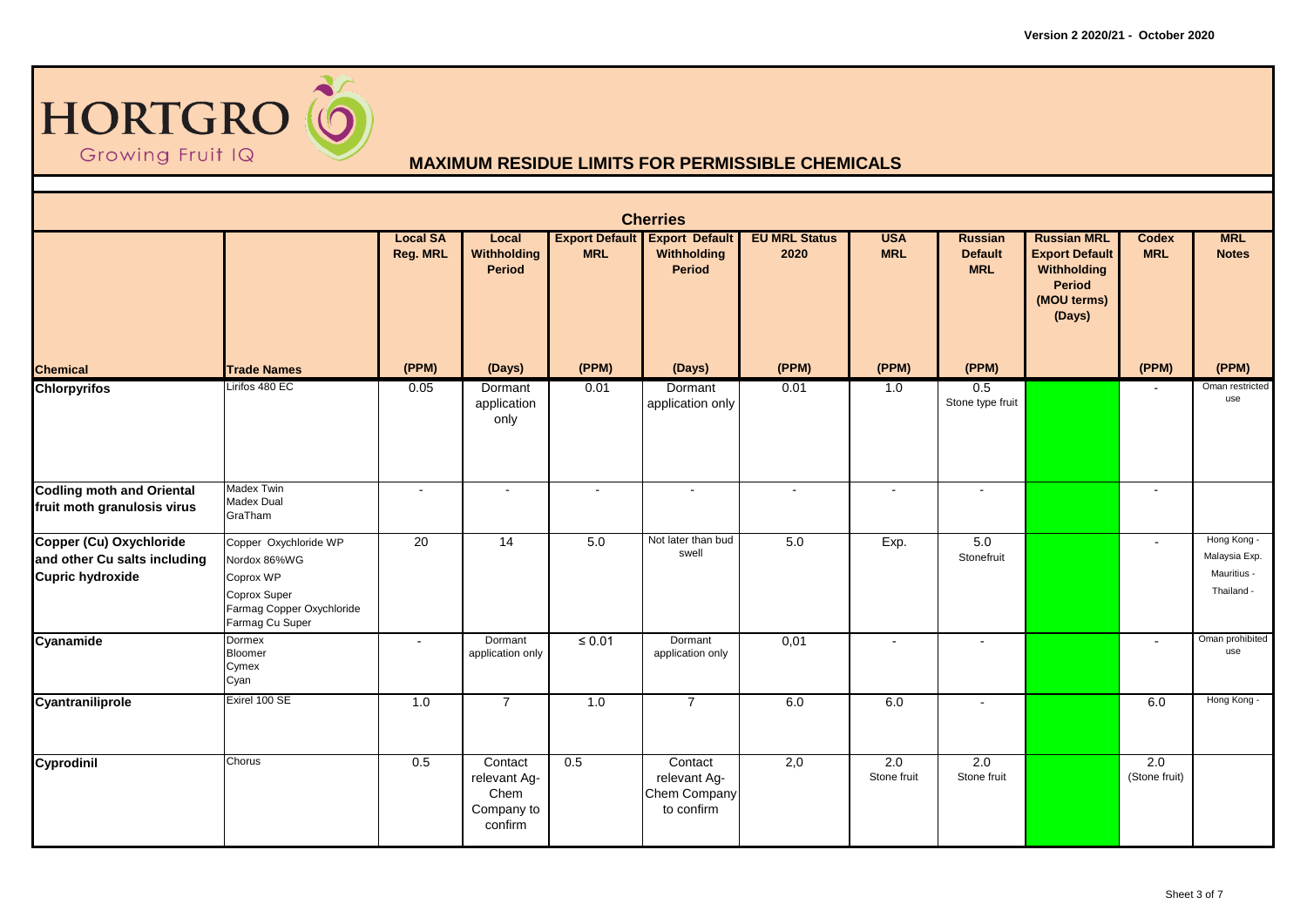

| <b>Cherries</b>                                                                    |                                                                                                                    |                                    |                                                          |             |                                                                      |                              |                          |                                                |                                                                                               |                            |                                                           |  |
|------------------------------------------------------------------------------------|--------------------------------------------------------------------------------------------------------------------|------------------------------------|----------------------------------------------------------|-------------|----------------------------------------------------------------------|------------------------------|--------------------------|------------------------------------------------|-----------------------------------------------------------------------------------------------|----------------------------|-----------------------------------------------------------|--|
|                                                                                    |                                                                                                                    | <b>Local SA</b><br><b>Reg. MRL</b> | Local<br><b>Withholding</b><br><b>Period</b>             | <b>MRL</b>  | <b>Export Default Export Default</b><br>Withholding<br><b>Period</b> | <b>EU MRL Status</b><br>2020 | <b>USA</b><br><b>MRL</b> | <b>Russian</b><br><b>Default</b><br><b>MRL</b> | <b>Russian MRL</b><br><b>Export Default</b><br>Withholding<br>Period<br>(MOU terms)<br>(Days) | <b>Codex</b><br><b>MRL</b> | <b>MRL</b><br><b>Notes</b>                                |  |
| <b>Chemical</b>                                                                    | <b>Trade Names</b>                                                                                                 | (PPM)                              | (Days)                                                   | (PPM)       | (Days)                                                               | (PPM)                        | (PPM)                    | (PPM)                                          |                                                                                               | (PPM)                      | (PPM)                                                     |  |
| <b>Chlorpyrifos</b>                                                                | Lirifos 480 EC                                                                                                     | 0.05                               | Dormant<br>application<br>only                           | 0.01        | Dormant<br>application only                                          | 0.01                         | 1.0                      | 0.5<br>Stone type fruit                        |                                                                                               |                            | Oman restricted<br>use                                    |  |
| <b>Codling moth and Oriental</b><br>fruit moth granulosis virus                    | <b>Madex Twin</b><br><b>Madex Dual</b><br>GraTham                                                                  | $\sim$                             | $\sim$                                                   | $\sim$      | $\sim$                                                               | $\sim$                       | $\sim$                   | $\sim$                                         |                                                                                               | $\sim$                     |                                                           |  |
| Copper (Cu) Oxychloride<br>and other Cu salts including<br><b>Cupric hydroxide</b> | Copper Oxychloride WP<br>Nordox 86%WG<br>Coprox WP<br>Coprox Super<br>Farmag Copper Oxychloride<br>Farmag Cu Super | 20                                 | 14                                                       | 5.0         | Not later than bud<br>swell                                          | $5.0\,$                      | Exp.                     | $5.0\,$<br>Stonefruit                          |                                                                                               | $\sim$                     | Hong Kong -<br>Malaysia Exp.<br>Mauritius -<br>Thailand - |  |
| Cyanamide                                                                          | Dormex<br><b>Bloomer</b><br>Cymex<br>Cyan                                                                          | $\overline{a}$                     | Dormant<br>application only                              | $\leq 0.01$ | Dormant<br>application only                                          | 0,01                         |                          |                                                |                                                                                               |                            | Oman prohibited<br>use                                    |  |
| Cyantraniliprole                                                                   | Exirel 100 SE                                                                                                      | 1.0                                | $\overline{7}$                                           | 1.0         | $\overline{7}$                                                       | 6.0                          | 6.0                      | $\sim$                                         |                                                                                               | 6.0                        | Hong Kong -                                               |  |
| Cyprodinil                                                                         | Chorus                                                                                                             | 0.5                                | Contact<br>relevant Ag-<br>Chem<br>Company to<br>confirm | 0.5         | Contact<br>relevant Ag-<br>Chem Company<br>to confirm                | 2,0                          | 2.0<br>Stone fruit       | 2.0<br>Stone fruit                             |                                                                                               | 2.0<br>(Stone fruit)       |                                                           |  |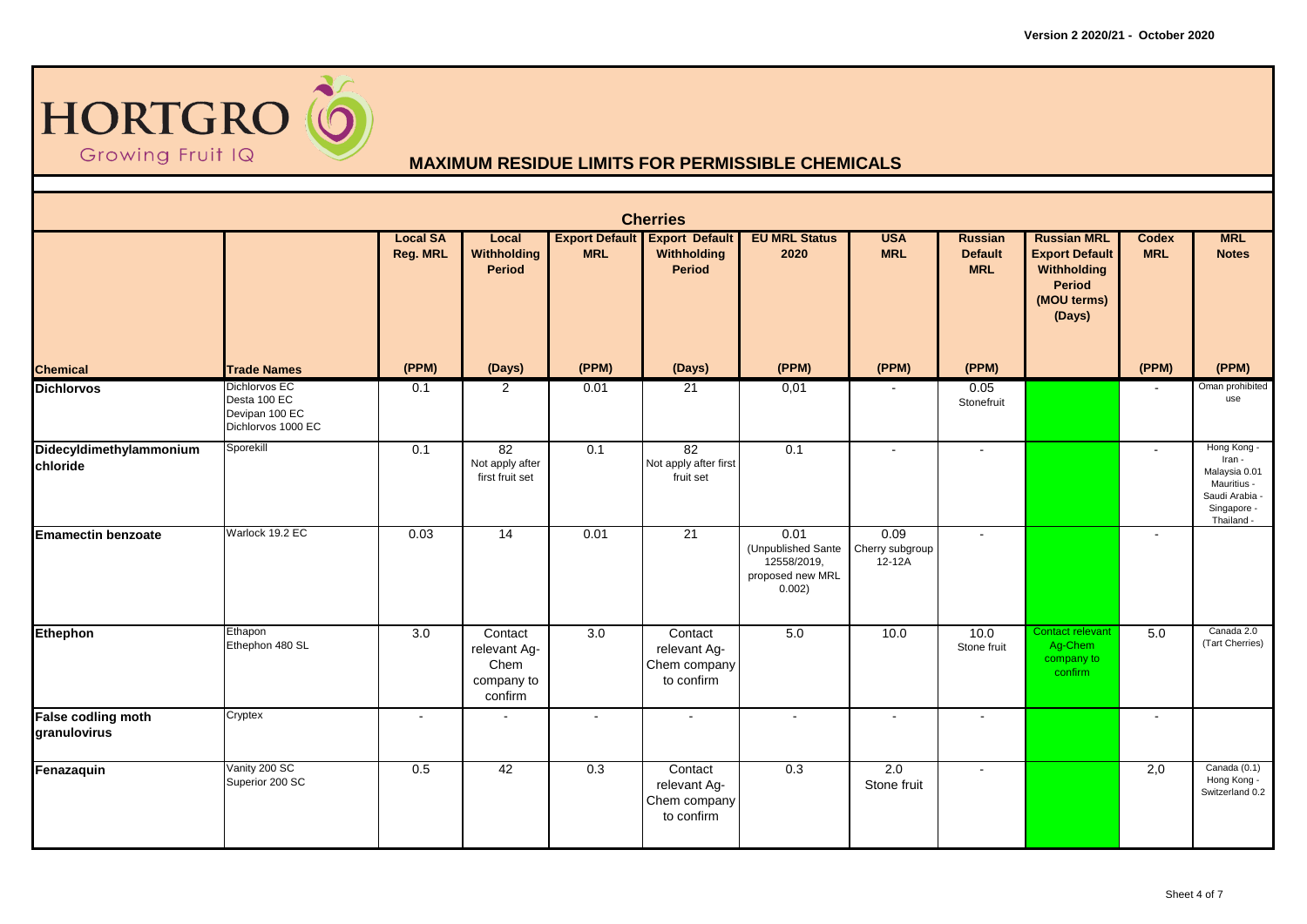

| <b>Cherries</b>                     |                                                                       |                                    |                                                          |            |                                                               |                                                                         |                                   |                                                |                                                                                                      |                            |                                                                                                      |  |
|-------------------------------------|-----------------------------------------------------------------------|------------------------------------|----------------------------------------------------------|------------|---------------------------------------------------------------|-------------------------------------------------------------------------|-----------------------------------|------------------------------------------------|------------------------------------------------------------------------------------------------------|----------------------------|------------------------------------------------------------------------------------------------------|--|
|                                     |                                                                       | <b>Local SA</b><br><b>Reg. MRL</b> | Local<br>Withholding<br><b>Period</b>                    | <b>MRL</b> | <b>Export Default Export Default</b><br>Withholding<br>Period | <b>EU MRL Status</b><br>2020                                            | <b>USA</b><br><b>MRL</b>          | <b>Russian</b><br><b>Default</b><br><b>MRL</b> | <b>Russian MRL</b><br><b>Export Default</b><br>Withholding<br><b>Period</b><br>(MOU terms)<br>(Days) | <b>Codex</b><br><b>MRL</b> | <b>MRL</b><br><b>Notes</b>                                                                           |  |
| <b>Chemical</b>                     | <b>Trade Names</b>                                                    | (PPM)                              | (Days)                                                   | (PPM)      | (Days)                                                        | (PPM)                                                                   | (PPM)                             | (PPM)                                          |                                                                                                      | (PPM)                      | (PPM)                                                                                                |  |
| <b>Dichlorvos</b>                   | Dichlorvos EC<br>Desta 100 EC<br>Devipan 100 EC<br>Dichlorvos 1000 EC | 0.1                                | $\overline{2}$                                           | 0.01       | 21                                                            | 0,01                                                                    |                                   | 0.05<br>Stonefruit                             |                                                                                                      |                            | Oman prohibited<br>use                                                                               |  |
| Didecyldimethylammonium<br>chloride | Sporekill                                                             | 0.1                                | 82<br>Not apply after<br>first fruit set                 | 0.1        | 82<br>Not apply after first<br>fruit set                      | 0.1                                                                     | $\overline{a}$                    | $\sim$                                         |                                                                                                      |                            | Hong Kong -<br>Iran -<br>Malaysia 0.01<br>Mauritius -<br>Saudi Arabia -<br>Singapore -<br>Thailand - |  |
| <b>Emamectin benzoate</b>           | Warlock 19.2 EC                                                       | 0.03                               | 14                                                       | 0.01       | 21                                                            | 0.01<br>(Unpublished Sante<br>12558/2019,<br>proposed new MRL<br>0.002) | 0.09<br>Cherry subgroup<br>12-12A | $\sim$                                         |                                                                                                      |                            |                                                                                                      |  |
| Ethephon                            | Ethapon<br>Ethephon 480 SL                                            | 3.0                                | Contact<br>relevant Ag-<br>Chem<br>company to<br>confirm | 3.0        | Contact<br>relevant Ag-<br>Chem company<br>to confirm         | 5.0                                                                     | 10.0                              | 10.0<br>Stone fruit                            | Contact relevant<br>Ag-Chem<br>company to<br>confirm                                                 | 5.0                        | Canada 2.0<br>(Tart Cherries)                                                                        |  |
| False codling moth<br>granulovirus  | Cryptex                                                               | $\overline{a}$                     |                                                          | $\sim$     | $\sim$                                                        | $\sim$                                                                  | $\sim$                            | $\sim$                                         |                                                                                                      | $\overline{a}$             |                                                                                                      |  |
| Fenazaquin                          | Vanity 200 SC<br>Superior 200 SC                                      | 0.5                                | 42                                                       | 0.3        | Contact<br>relevant Ag-<br>Chem company<br>to confirm         | 0.3                                                                     | 2.0<br>Stone fruit                | $\sim$                                         |                                                                                                      | 2,0                        | Canada (0.1)<br>Hong Kong -<br>Switzerland 0.2                                                       |  |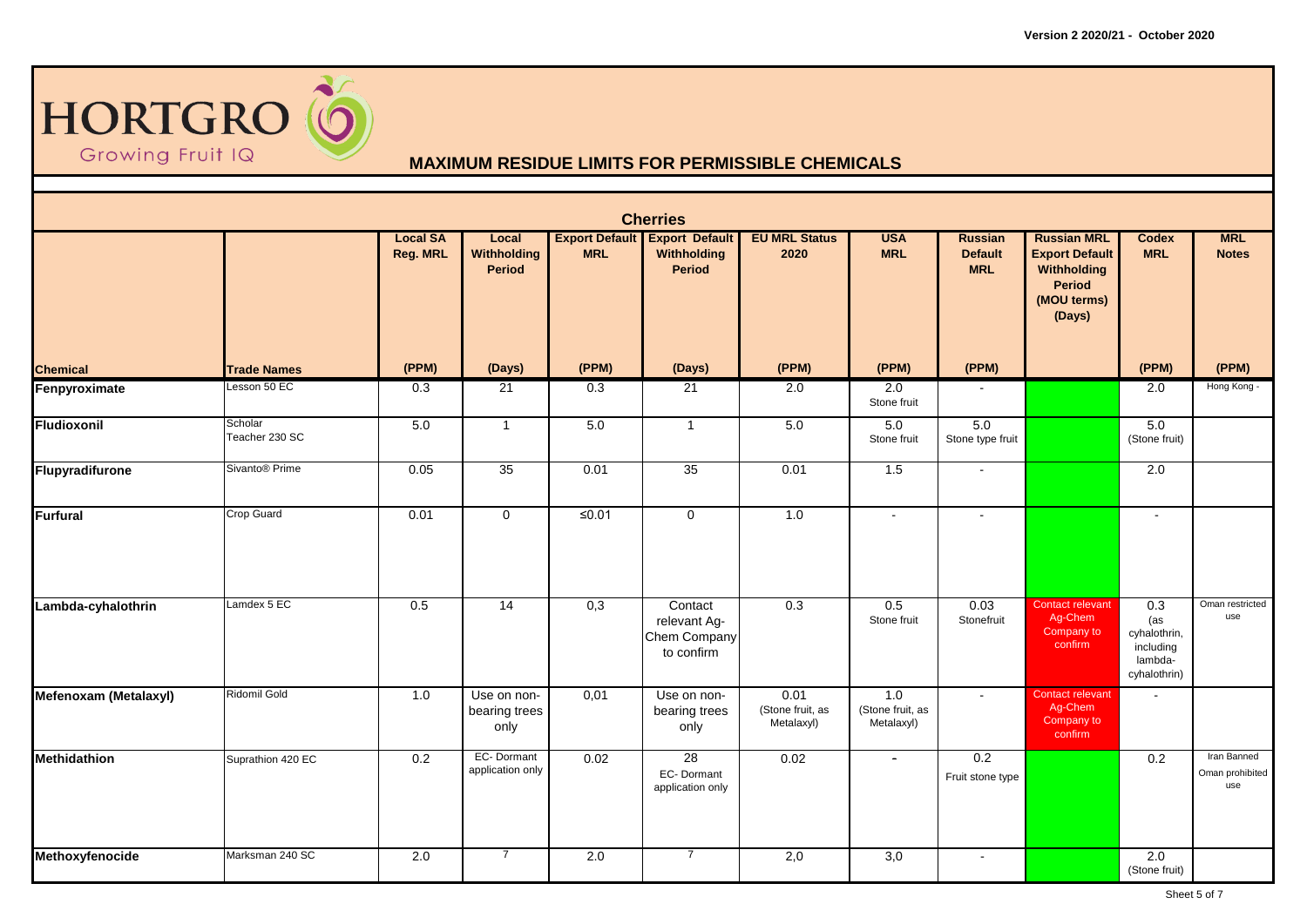

|                       | <b>Cherries</b>            |                                    |                                       |                  |                                                                      |                                        |                                       |                                                |                                                                                               |                                                                                 |                                       |  |  |
|-----------------------|----------------------------|------------------------------------|---------------------------------------|------------------|----------------------------------------------------------------------|----------------------------------------|---------------------------------------|------------------------------------------------|-----------------------------------------------------------------------------------------------|---------------------------------------------------------------------------------|---------------------------------------|--|--|
|                       |                            | <b>Local SA</b><br><b>Reg. MRL</b> | Local<br>Withholding<br><b>Period</b> | <b>MRL</b>       | <b>Export Default Export Default</b><br>Withholding<br><b>Period</b> | <b>EU MRL Status</b><br>2020           | <b>USA</b><br><b>MRL</b>              | <b>Russian</b><br><b>Default</b><br><b>MRL</b> | <b>Russian MRL</b><br><b>Export Default</b><br>Withholding<br>Period<br>(MOU terms)<br>(Days) | <b>Codex</b><br><b>MRL</b>                                                      | <b>MRL</b><br><b>Notes</b>            |  |  |
| <b>Chemical</b>       | <b>Trade Names</b>         | (PPM)                              | (Days)                                | (PPM)            | (Days)                                                               | (PPM)                                  | (PPM)                                 | (PPM)                                          |                                                                                               | (PPM)                                                                           | (PPM)                                 |  |  |
| Fenpyroximate         | Lesson 50 EC               | 0.3                                | 21                                    | 0.3              | 21                                                                   | 2.0                                    | 2.0<br>Stone fruit                    |                                                |                                                                                               | 2.0                                                                             | Hong Kong -                           |  |  |
| <b>Fludioxonil</b>    | Scholar<br>Teacher 230 SC  | 5.0                                | $\mathbf{1}$                          | 5.0              | $\overline{1}$                                                       | 5.0                                    | 5.0<br>Stone fruit                    | 5.0<br>Stone type fruit                        |                                                                                               | 5.0<br>(Stone fruit)                                                            |                                       |  |  |
| Flupyradifurone       | Sivanto <sup>®</sup> Prime | 0.05                               | 35                                    | 0.01             | 35                                                                   | 0.01                                   | 1.5                                   | $\sim$                                         |                                                                                               | 2.0                                                                             |                                       |  |  |
| <b>Furfural</b>       | <b>Crop Guard</b>          | 0.01                               | $\mathbf 0$                           | ≤0.01            | $\mathbf{0}$                                                         | 1.0                                    | $\Delta$                              | $\sim$                                         |                                                                                               | $\sim$                                                                          |                                       |  |  |
| Lambda-cyhalothrin    | Lamdex 5 EC                | 0.5                                | $\overline{14}$                       | $\overline{0,3}$ | Contact<br>relevant Ag-<br>Chem Company<br>to confirm                | $\overline{0.3}$                       | $\overline{0.5}$<br>Stone fruit       | 0.03<br>Stonefruit                             | <b>Contact relevant</b><br>Ag-Chem<br>Company to<br>confirm                                   | $\overline{0.3}$<br>(as<br>cyhalothrin,<br>including<br>lambda-<br>cyhalothrin) | Oman restricted<br>use                |  |  |
| Mefenoxam (Metalaxyl) | Ridomil Gold               | 1.0                                | Use on non-<br>bearing trees<br>only  | 0,01             | Use on non-<br>bearing trees<br>only                                 | 0.01<br>(Stone fruit, as<br>Metalaxyl) | 1.0<br>(Stone fruit, as<br>Metalaxyl) | $\sim$                                         | <b>Contact relevant</b><br>Ag-Chem<br>Company to<br>confirm                                   |                                                                                 |                                       |  |  |
| <b>Methidathion</b>   | Suprathion 420 EC          | 0.2                                | EC-Dormant<br>application only        | 0.02             | 28<br>EC-Dormant<br>application only                                 | 0.02                                   | $\blacksquare$                        | 0.2<br>Fruit stone type                        |                                                                                               | 0.2                                                                             | Iran Banned<br>Oman prohibited<br>use |  |  |
| Methoxyfenocide       | Marksman 240 SC            | 2.0                                | $\overline{7}$                        | 2.0              | $\overline{7}$                                                       | 2,0                                    | $\overline{3,0}$                      | $\sim$                                         |                                                                                               | 2.0<br>(Stone fruit)                                                            |                                       |  |  |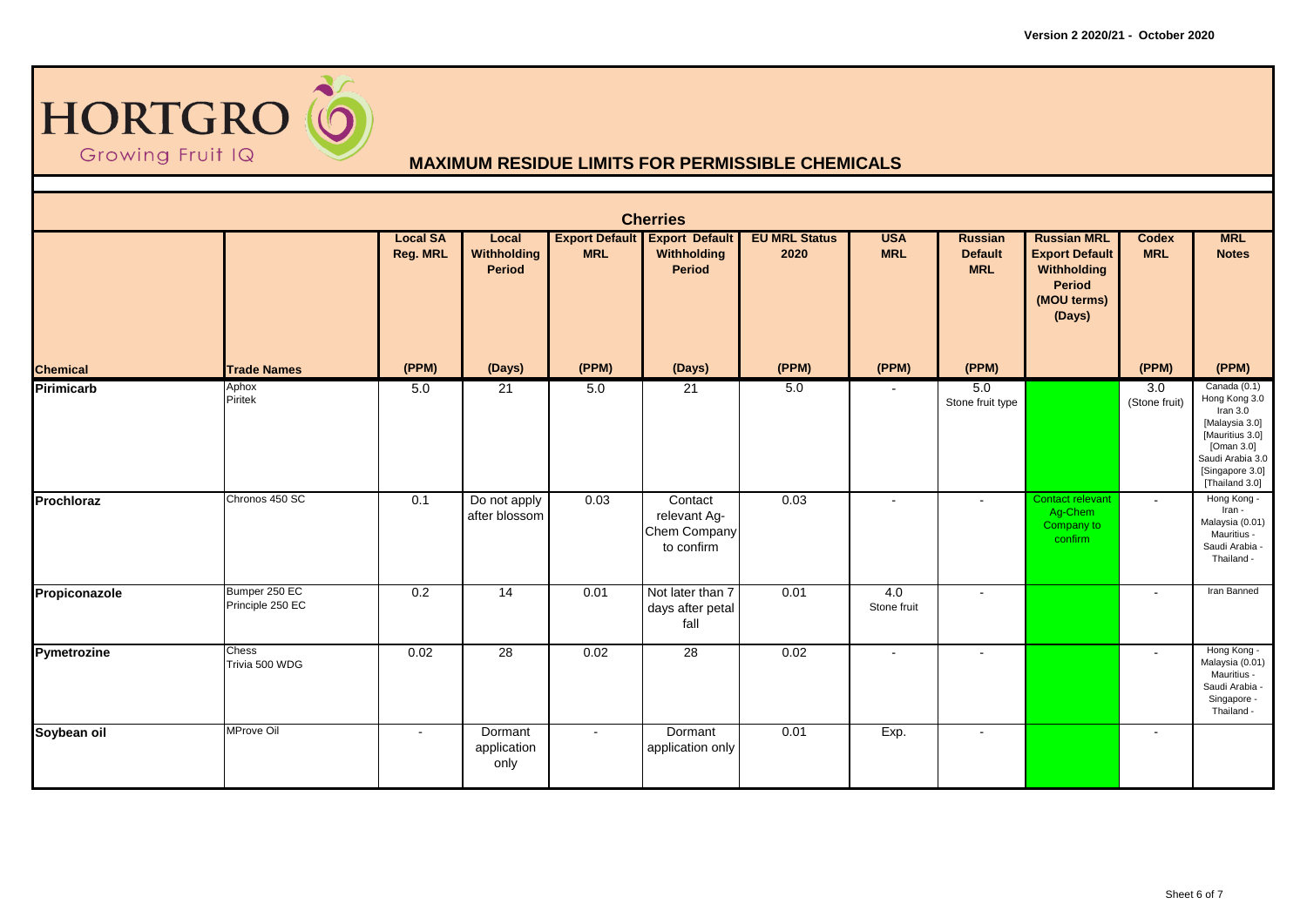

|                 | <b>Cherries</b>                   |                                    |                                              |            |                                                                      |                              |                          |                                         |                                                                                                      |                                   |                                                                                                                                                         |  |  |  |
|-----------------|-----------------------------------|------------------------------------|----------------------------------------------|------------|----------------------------------------------------------------------|------------------------------|--------------------------|-----------------------------------------|------------------------------------------------------------------------------------------------------|-----------------------------------|---------------------------------------------------------------------------------------------------------------------------------------------------------|--|--|--|
|                 |                                   | <b>Local SA</b><br><b>Reg. MRL</b> | Local<br><b>Withholding</b><br><b>Period</b> | <b>MRL</b> | <b>Export Default Export Default</b><br>Withholding<br><b>Period</b> | <b>EU MRL Status</b><br>2020 | <b>USA</b><br><b>MRL</b> | Russian<br><b>Default</b><br><b>MRL</b> | <b>Russian MRL</b><br><b>Export Default</b><br>Withholding<br><b>Period</b><br>(MOU terms)<br>(Days) | <b>Codex</b><br><b>MRL</b>        | <b>MRL</b><br><b>Notes</b>                                                                                                                              |  |  |  |
| <b>Chemical</b> | <b>Trade Names</b>                | (PPM)                              | (Days)                                       | (PPM)      | (Days)                                                               | (PPM)                        | (PPM)                    | (PPM)                                   |                                                                                                      | (PPM)                             | (PPM)                                                                                                                                                   |  |  |  |
| Pirimicarb      | Aphox<br>Piritek                  | 5.0                                | 21                                           | 5.0        | 21                                                                   | 5.0                          | $\blacksquare$           | 5.0<br>Stone fruit type                 |                                                                                                      | $\overline{3.0}$<br>(Stone fruit) | Canada (0.1)<br>Hong Kong 3.0<br>Iran $3.0$<br>[Malaysia 3.0]<br>[Mauritius 3.0]<br>[Oman 3.0]<br>Saudi Arabia 3.0<br>[Singapore 3.0]<br>[Thailand 3.0] |  |  |  |
| Prochloraz      | Chronos 450 SC                    | 0.1                                | Do not apply<br>after blossom                | 0.03       | Contact<br>relevant Ag-<br>Chem Company<br>to confirm                | 0.03                         | $\blacksquare$           | $\sim$                                  | Contact relevant<br>Ag-Chem<br>Company to<br>confirm                                                 | $\sim$                            | Hong Kong -<br>Iran -<br>Malaysia (0.01)<br>Mauritius -<br>Saudi Arabia -<br>Thailand -                                                                 |  |  |  |
| Propiconazole   | Bumper 250 EC<br>Principle 250 EC | 0.2                                | 14                                           | 0.01       | Not later than 7<br>days after petal<br>fall                         | 0.01                         | 4.0<br>Stone fruit       |                                         |                                                                                                      |                                   | Iran Banned                                                                                                                                             |  |  |  |
| Pymetrozine     | Chess<br>Trivia 500 WDG           | 0.02                               | 28                                           | 0.02       | 28                                                                   | 0.02                         | $\blacksquare$           | $\sim$                                  |                                                                                                      | $\sim$                            | Hong Kong -<br>Malaysia (0.01)<br>Mauritius -<br>Saudi Arabia -<br>Singapore -<br>Thailand -                                                            |  |  |  |
| Soybean oil     | <b>MProve Oil</b>                 | $\sim$                             | Dormant<br>application<br>only               | $\sim$     | Dormant<br>application only                                          | 0.01                         | Exp.                     | $\sim$                                  |                                                                                                      | $\overline{\phantom{a}}$          |                                                                                                                                                         |  |  |  |